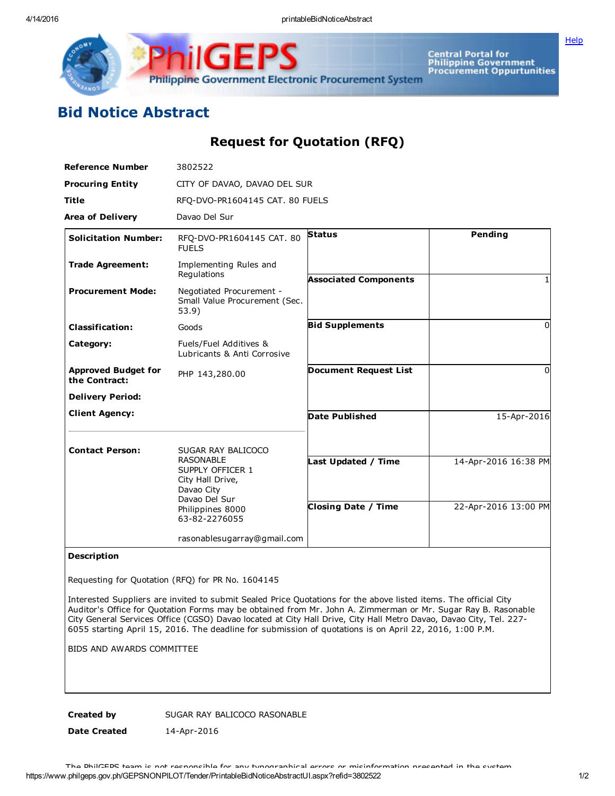Central Portal for<br>Philippine Government<br>Procurement Oppurtunities Philippine Government Electronic Procurement System

## Bid Notice Abstract

IGF

## Request for Quotation (RFQ)

| <b>Reference Number</b>                     | 3802522                                                                                 |                              |                      |
|---------------------------------------------|-----------------------------------------------------------------------------------------|------------------------------|----------------------|
| <b>Procuring Entity</b>                     | CITY OF DAVAO, DAVAO DEL SUR                                                            |                              |                      |
| <b>Title</b>                                | RFQ-DVO-PR1604145 CAT. 80 FUELS                                                         |                              |                      |
| <b>Area of Delivery</b>                     | Davao Del Sur                                                                           |                              |                      |
| <b>Solicitation Number:</b>                 | RFQ-DVO-PR1604145 CAT. 80<br><b>FUELS</b>                                               | <b>Status</b>                | Pending              |
| <b>Trade Agreement:</b>                     | Implementing Rules and<br>Regulations                                                   | <b>Associated Components</b> |                      |
| <b>Procurement Mode:</b>                    | Negotiated Procurement -<br>Small Value Procurement (Sec.<br>53.9)                      |                              |                      |
| <b>Classification:</b>                      | Goods                                                                                   | <b>Bid Supplements</b>       | $\Omega$             |
| Category:                                   | Fuels/Fuel Additives &<br>Lubricants & Anti Corrosive                                   |                              |                      |
| <b>Approved Budget for</b><br>the Contract: | PHP 143,280.00                                                                          | <b>Document Request List</b> | $\Omega$             |
| <b>Delivery Period:</b>                     |                                                                                         |                              |                      |
| <b>Client Agency:</b>                       |                                                                                         | <b>Date Published</b>        | 15-Apr-2016          |
| <b>Contact Person:</b>                      | SUGAR RAY BALICOCO                                                                      |                              |                      |
|                                             | <b>RASONABLE</b><br>SUPPLY OFFICER 1<br>City Hall Drive,<br>Davao City<br>Davao Del Sur | Last Updated / Time          | 14-Apr-2016 16:38 PM |
|                                             | Philippines 8000<br>63-82-2276055                                                       | <b>Closing Date / Time</b>   | 22-Apr-2016 13:00 PM |
|                                             | rasonablesugarray@gmail.com                                                             |                              |                      |

## Description

Requesting for Quotation (RFQ) for PR No. 1604145

Interested Suppliers are invited to submit Sealed Price Quotations for the above listed items. The official City Auditor's Office for Quotation Forms may be obtained from Mr. John A. Zimmerman or Mr. Sugar Ray B. Rasonable City General Services Office (CGSO) Davao located at City Hall Drive, City Hall Metro Davao, Davao City, Tel. 227 6055 starting April 15, 2016. The deadline for submission of quotations is on April 22, 2016, 1:00 P.M.

BIDS AND AWARDS COMMITTEE

Created by SUGAR RAY BALICOCO RASONABLE

Date Created 14-Apr-2016

**[Help](javascript:void(window.open()**